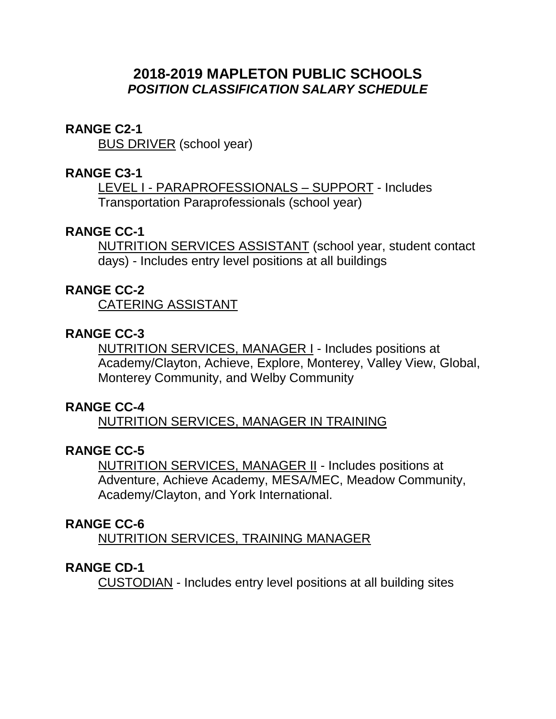# **2018-2019 MAPLETON PUBLIC SCHOOLS** *POSITION CLASSIFICATION SALARY SCHEDULE*

#### **RANGE C2-1**

BUS DRIVER (school year)

## **RANGE C3-1**

LEVEL I - PARAPROFESSIONALS – SUPPORT - Includes Transportation Paraprofessionals (school year)

## **RANGE CC-1**

NUTRITION SERVICES ASSISTANT (school year, student contact days) - Includes entry level positions at all buildings

#### **RANGE CC-2**

CATERING ASSISTANT

## **RANGE CC-3**

NUTRITION SERVICES, MANAGER I - Includes positions at Academy/Clayton, Achieve, Explore, Monterey, Valley View, Global, Monterey Community, and Welby Community

## **RANGE CC-4**

NUTRITION SERVICES, MANAGER IN TRAINING

## **RANGE CC-5**

NUTRITION SERVICES, MANAGER II - Includes positions at Adventure, Achieve Academy, MESA/MEC, Meadow Community, Academy/Clayton, and York International.

#### **RANGE CC-6**

NUTRITION SERVICES, TRAINING MANAGER

#### **RANGE CD-1**

CUSTODIAN - Includes entry level positions at all building sites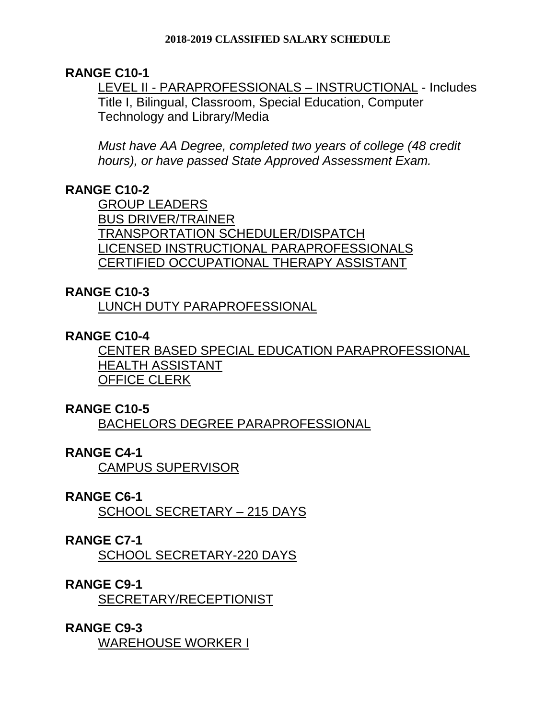## **RANGE C10-1**

LEVEL II - PARAPROFESSIONALS – INSTRUCTIONAL - Includes Title I, Bilingual, Classroom, Special Education, Computer Technology and Library/Media

*Must have AA Degree, completed two years of college (48 credit hours), or have passed State Approved Assessment Exam.* 

# **RANGE C10-2**

GROUP LEADERS BUS DRIVER/TRAINER TRANSPORTATION SCHEDULER/DISPATCH LICENSED INSTRUCTIONAL PARAPROFESSIONALS CERTIFIED OCCUPATIONAL THERAPY ASSISTANT

## **RANGE C10-3**

LUNCH DUTY PARAPROFESSIONAL

# **RANGE C10-4**

CENTER BASED SPECIAL EDUCATION PARAPROFESSIONAL HEALTH ASSISTANT OFFICE CLERK

## **RANGE C10-5**

BACHELORS DEGREE PARAPROFESSIONAL

## **RANGE C4-1**

CAMPUS SUPERVISOR

## **RANGE C6-1**

SCHOOL SECRETARY – 215 DAYS

## **RANGE C7-1**

SCHOOL SECRETARY-220 DAYS

## **RANGE C9-1**

SECRETARY/RECEPTIONIST

# **RANGE C9-3**

WAREHOUSE WORKER I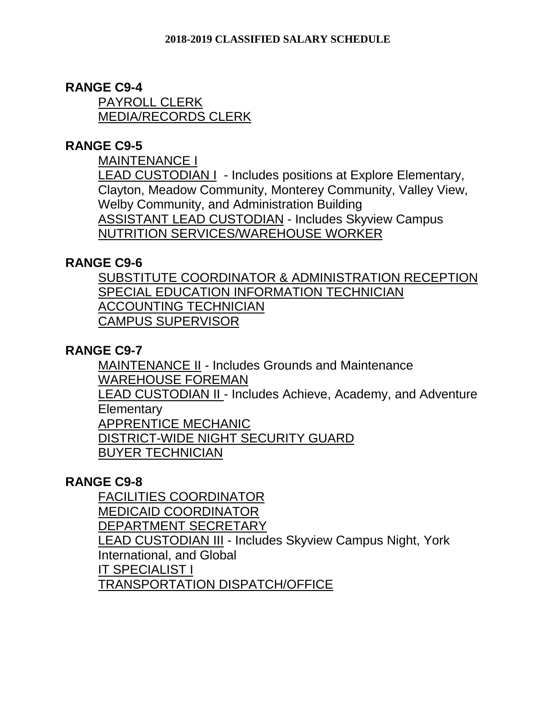## **RANGE C9-4**

PAYROLL CLERK MEDIA/RECORDS CLERK

## **RANGE C9-5**

MAINTENANCE I

LEAD CUSTODIAN I - Includes positions at Explore Elementary, Clayton, Meadow Community, Monterey Community, Valley View, Welby Community, and Administration Building ASSISTANT LEAD CUSTODIAN - Includes Skyview Campus NUTRITION SERVICES/WAREHOUSE WORKER

## **RANGE C9-6**

SUBSTITUTE COORDINATOR & ADMINISTRATION RECEPTION SPECIAL EDUCATION INFORMATION TECHNICIAN ACCOUNTING TECHNICIAN CAMPUS SUPERVISOR

## **RANGE C9-7**

MAINTENANCE II - Includes Grounds and Maintenance WAREHOUSE FOREMAN LEAD CUSTODIAN II - Includes Achieve, Academy, and Adventure **Elementary** APPRENTICE MECHANIC DISTRICT-WIDE NIGHT SECURITY GUARD BUYER TECHNICIAN

## **RANGE C9-8**

FACILITIES COORDINATOR MEDICAID COORDINATOR DEPARTMENT SECRETARY LEAD CUSTODIAN III - Includes Skyview Campus Night, York International, and Global IT SPECIALIST I TRANSPORTATION DISPATCH/OFFICE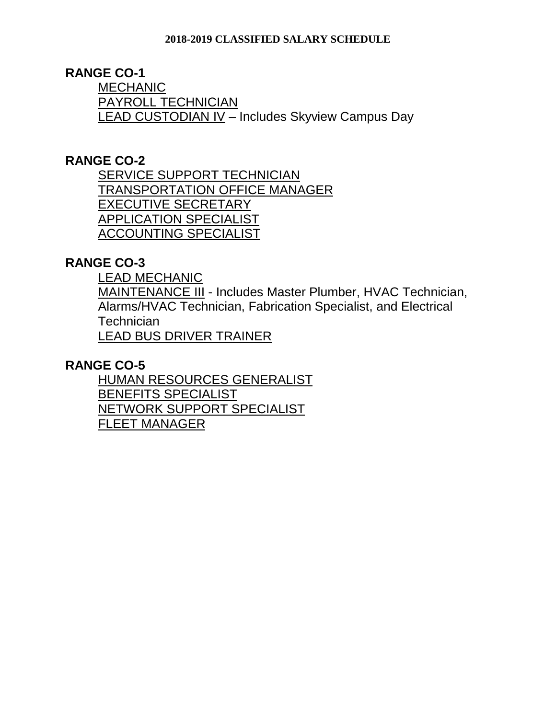# **RANGE CO-1**

MECHANIC PAYROLL TECHNICIAN LEAD CUSTODIAN IV - Includes Skyview Campus Day

## **RANGE CO-2**

SERVICE SUPPORT TECHNICIAN TRANSPORTATION OFFICE MANAGER EXECUTIVE SECRETARY APPLICATION SPECIALIST ACCOUNTING SPECIALIST

# **RANGE CO-3**

LEAD MECHANIC

MAINTENANCE III - Includes Master Plumber, HVAC Technician, Alarms/HVAC Technician, Fabrication Specialist, and Electrical **Technician** LEAD BUS DRIVER TRAINER

**RANGE CO-5**

HUMAN RESOURCES GENERALIST BENEFITS SPECIALIST NETWORK SUPPORT SPECIALIST FLEET MANAGER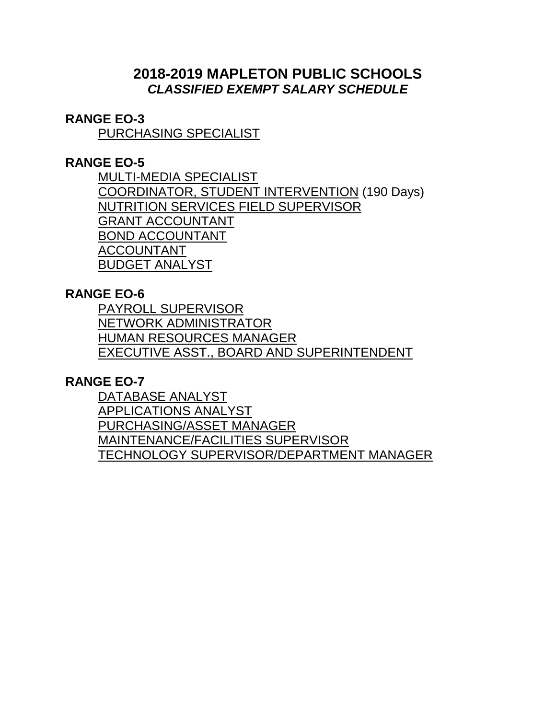# **2018-2019 MAPLETON PUBLIC SCHOOLS** *CLASSIFIED EXEMPT SALARY SCHEDULE*

## **RANGE EO-3**

PURCHASING SPECIALIST

## **RANGE EO-5**

MULTI-MEDIA SPECIALIST COORDINATOR, STUDENT INTERVENTION (190 Days) NUTRITION SERVICES FIELD SUPERVISOR GRANT ACCOUNTANT BOND ACCOUNTANT ACCOUNTANT BUDGET ANALYST

## **RANGE EO-6**

PAYROLL SUPERVISOR NETWORK ADMINISTRATOR HUMAN RESOURCES MANAGER EXECUTIVE ASST., BOARD AND SUPERINTENDENT

# **RANGE EO-7**

DATABASE ANALYST APPLICATIONS ANALYST PURCHASING/ASSET MANAGER MAINTENANCE/FACILITIES SUPERVISOR TECHNOLOGY SUPERVISOR/DEPARTMENT MANAGER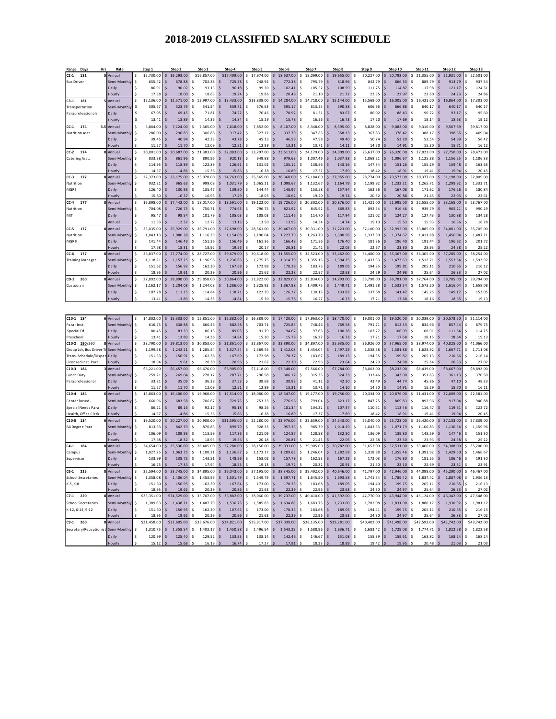| Range Days<br>Hrs                          | Rate                     | Step 1          | Step 2                          | Step 3                | Step 4                            | Step 5                      | Step 6                                 | Step 7                | Step 8                     | Step 9                | Step 10         | Step 11               | Step 12                           | Step 13               |
|--------------------------------------------|--------------------------|-----------------|---------------------------------|-----------------------|-----------------------------------|-----------------------------|----------------------------------------|-----------------------|----------------------------|-----------------------|-----------------|-----------------------|-----------------------------------|-----------------------|
| $C2-1$<br>181                              | 5 Annual                 | 15,730.00<br>Ś  | \$<br>16,293.00                 | \$16,857.00           | \$17,409.00                       | \$<br>17,974.00             | 18,537.00<br>\$                        | 19,099.00<br>\$       | 19,655.00<br>Ś             | 20,227.00<br>\$       | 20,792.00<br>Ś  | 21,355.00<br>Ś        | 21,931.00<br>Š.                   | 22,501.00<br>\$       |
| <b>Bus Driver</b>                          | Semi-Monthly             | 655.42          | Ś<br>678.88                     | 702.38                | 725.38                            | 748.92<br>Ś                 | Ś<br>772.38                            | 795.79                | 818.96                     | Ś<br>842.79           | 866.33          | 889.79<br>Ś           | 913.79                            | Ś<br>937.54           |
|                                            | Daily                    | 86.91           | 90.02<br>Ś                      | 93.13<br>Ś            | 96.18<br>Ś                        | 99.30<br>\$                 | 102.41<br>Ś                            | 105.52<br>Ś           | 108.59                     | 111.75<br>Ś           | 114.87          | \$<br>117.98          | 121.17                            | \$<br>124.31          |
|                                            | lourly                   | 17.38           | 18.00                           | 18.63                 | 19.24                             | 19.86                       | 20.48                                  | 21.10                 | 21.72                      | 22.35                 | 22.97           | 23.60                 | 24.23                             | 24.86                 |
| 181<br>$C3-1$                              | Annual                   | Ś<br>12,136.00  | 12,571.00<br>Ś.                 | 12,997.00<br>\$       | 13,433.00<br>\$                   | \$13,839.00                 | 14,284.00<br>Ś.                        | 14,718.00<br>\$       | 15,144.00<br>Ś             | 15,569.00<br>\$       | 16,005.00<br>Ś. | \$<br>16,421.00       | 16,864.00<br>Ś.                   | \$<br>17,303.00       |
| Transportation                             | Semi-Monthly             | 505.67          | 523.79                          | 541.54                | 559.71                            | 576.63                      | 595.17                                 | 613.25                | 590.38                     | 606.96                | 666.88          | \$<br>640.17          | 640.17                            | \$<br>640.17          |
| Paraprofessionals                          | Daily                    | 67.05           | 69.45<br>Ś                      | 71.81                 | 74.22<br>Ś                        | 76.46<br>\$                 | Ś<br>78.92                             | 81.31<br>Ś            | 83.67                      | 86.02<br>Ś            | 88.43           | \$<br>90.72           | 93.17                             | 95.60<br>Ś            |
|                                            | lourly                   | 13.41<br>S      | 13.89                           | 14.36                 | 14.84                             | 15.29                       | 15.78                                  | 16.26                 | 16.73                      | 17.20<br>Ś            | 17.69           | 18.14                 | 18.63                             | 19.12                 |
| 174<br>CC-1                                | 3.5 Annual               | \$<br>6,864.00  | 7,124.00                        | \$<br>7,365.00        | 7,618.00<br>\$                    | \$<br>7,852.00              | 8,107.00<br>\$                         | \$<br>8,348.00        | 8,595.00                   | 8,828.00<br>\$        | 9,082.00        | \$<br>9,316.00        | 9,567.69                          | \$9,817.00            |
|                                            |                          |                 | S                               | Ś                     | S                                 | \$                          | $\ddot{\mathbf{S}}$                    | Ś                     | 358.13                     | \$                    |                 | \$                    |                                   | Ś                     |
| Nutrition Asst.                            | Semi-Monthly             | 286.00<br>\$    | 296.83                          | 306.88                | 317.42<br>Ś                       | 327.17<br>Ś                 | 337.79<br>Ś                            | 347.83                |                            | 367.83<br>Ś           | 378.42          | 388.17<br>Ś           | 398.65                            | 409.04<br>Ś           |
|                                            | Daily                    | 39.45<br>11.27  | 40.94<br>11.70                  | 42.33<br>12.09        | 43.78<br>12.51                    | 45.13<br>12.89              | 46.59                                  | 47.98<br>13.71        | 49.40                      | 50.74                 | 52.20<br>14.91  | 53.54<br>15.30        | 54.99                             | 56.42<br>16.12        |
|                                            | lourly<br>8 Annual       | Ś               | 20,687.00                       |                       | 22,083.00<br>Ś                    | 22,797.00<br>Ś              | 13.31<br>23,511.00<br>Ś                | Ś                     | 14.11<br>24,909.00         | 14.50<br>25,637.00    | 26,320.00       | 27,021.00<br>Ś        | 15.71<br>27,750.00                |                       |
| 174<br>CC-2                                |                          | 20,001.00       | Ś                               | 21,383.00             |                                   |                             |                                        | 24,179.00             |                            | 1,068.21              |                 |                       |                                   | 28,472.00<br>\$       |
| Catering Asst.                             | iemi-Monthl <sup>.</sup> | 833.38          | 861.96                          | 890.96                | 920.13                            | 949.88                      | 979.63                                 | 1,007.46              | 1,037.88                   |                       | 1,096.67        | \$<br>1,125.88        | 1,156.25                          | 1,186.33<br>\$        |
|                                            | Daily                    | 114.95          | 118.89<br>Ś                     | 122.89<br>\$<br>15.36 | Ś<br>126.91                       | \$<br>131.02<br>16.38       | 135.12<br>Ś                            | 138.96<br>\$<br>17.37 | 143.16                     | 147.34<br>\$          | 151.26<br>18.91 | \$<br>155.29<br>19.41 | 159.48                            | \$<br>163.63<br>20.45 |
|                                            | lourly                   | 14.37<br>\$     | 14.86                           |                       | 15.86                             |                             | 16.89<br>\$<br>26,368.00               |                       | 17.89                      | 18.42<br>28,774.00    | 29,573.00       | 30,377.00             | 19.94                             | 32,009.00             |
| 177<br>CC-3                                | Annual<br>Semi-Monthly   | 22,373.00       | 23,175.00<br>\$<br>965.63<br>Ś  | 23,978.00<br>\$       | 24,763.00<br>\$<br>1,031.79<br>\$ | 25,565.00<br>\$<br>1.065.21 | $\dot{\mathsf{s}}$<br>1,098.67         | 27,184.00<br>\$<br>Ś  | 27,955.00<br>1.164.79<br>Ś | \$<br>1,198.92<br>Ś   | 1.232.21        | \$<br>Ś               | 31,198.00<br>\$<br>1,299.92<br>Š. | \$<br>Ś<br>1,333.71   |
| Nutrition                                  |                          | 932.21          | $\ddot{\mathsf{s}}$             | 999.08                | Š                                 | \$                          | $\ddot{\mathsf{s}}$                    | 1,132.67<br>Ś         |                            | Ś                     |                 | 1,265.71<br>\$        |                                   | Ś                     |
| MGR I                                      | Daily                    | 126.40          | 130.93<br>16.37                 | 135.47<br>16.93       | 139.90<br>17.49                   | \$<br>144.44<br>18.05       | 148.97<br>18.62                        | 153.58<br>19.20       | 157.94<br>Ś<br>19.74       | 162.56                | 167.08<br>20.88 | 171.62<br>21.45       | 176.26<br>22.03                   | 180.84                |
|                                            | <b>Hourly</b>            | 15.80           |                                 |                       |                                   |                             |                                        |                       |                            | 20.32                 |                 |                       |                                   | 22.61                 |
| 177<br>CC-4<br>8                           | Annual                   | 16,898.00<br>Ś  | 17,442.00<br>Ś.                 | 18,017.00<br>Ś        | 18,591.00<br>\$                   | 19,122.00<br>\$             | 19,726.00<br>Ś.                        | 20,302.00<br>Ś        | 20,876.00<br>Ś             | 21,421.00<br>Ś        | 21,995.00       | 22,555.00<br>Ś        | 23,165.00<br>Š.                   | 23,767.00<br>\$       |
| Nutrition                                  | Semi-Monthly             | 704.08          | 726.75                          | 750.71                | 774.63                            | 796.75                      | 821.92<br>Ś                            | 845.92                | 869.83                     | 892.54                | 916.46          | 939.79<br>\$          | 965.21                            | \$<br>990.29          |
| MIT                                        | Daily                    | 95.47           | 98.54                           | 101.79                | Ś<br>105.03                       | Ś<br>108.03                 | Ś<br>111.45                            | 114.70                | 117.94                     | Ś<br>121.02           | 124.27          | \$<br>127.43          | 130.88                            | 134.28<br>Ś           |
|                                            | Annual                   | 11.93           | 12.32                           | 12.72                 | 13.13                             | 13.50                       | 13.93                                  | 14.34                 | 14.74                      | 15.13                 | 15.53           | 15.93                 | 16.36                             | 16.78                 |
| 177<br>CC-5                                | 8 Annual                 | \$<br>25,035.00 | 25,929.00<br>Ś                  | 26,791.00             | 27,698.00<br>\$                   | 28,561.00<br>\$             | 29,467.00<br>\$                        | 30,331.00<br>\$       | 31,223.00                  | 32,100.00<br>\$       | 32,992.00       | 33,885.00<br>\$       | 34,801.00<br>Š.                   | 35,705.00<br>\$       |
| Nutrition                                  | iemi-Monthly             | Ś<br>1,043.13   | Ś<br>1,080.38                   | 1,116.29              | Ś<br>1,154.08                     | \$<br>1,190.04              | \$<br>1,227.79                         | 1,263.79              | 1,300.96                   | \$<br>1,337.50        | 1,374.67        | \$<br>1,411.88        | 1,450.04                          | \$<br>1,487.71        |
| MGR II                                     | Daily                    | 141.44          | \$<br>146.49                    | 151.36                | \$<br>156.49                      | \$<br>161.36                | \$<br>166.48                           | 171.36                | 176.40                     | \$<br>181.36          | 186.40          | \$<br>191.44          | 196.62                            | 201.72<br>\$          |
|                                            | Hourly                   | 17.68           | 18.33                           | 18.92                 | 19.56                             | 20.17                       | 20.81                                  | 21.42                 | 22.05                      | 22.67                 | 23.30           | 23.93                 | 24.58                             | 25.22                 |
| CC-6 177<br>8                              | Annual                   | \$<br>26,837.00 | \$<br>27,774.00                 | 28,727.00<br>\$       | 29,679.00<br>\$                   | 30,618.00<br>\$             | \$<br>31,555.00                        | \$<br>32,523.00       | 33,462.00<br>Ś             | 34,400.00<br>\$       | 35,367.00<br>Ś. | \$<br>36,305.00       | \$37,285.00                       | \$<br>38,254.00       |
| Training Manager                           | Semi-Monthly             | 1,118.21<br>\$  | \$<br>1,157.25                  | 1,196.96              | \$<br>1,236.63                    | 1,275.75<br>\$              | $\ddot{\mathsf{s}}$<br>1,314.79        | 1,355.13<br>\$        | 1,394.25<br>Ś              | 1,433.33<br>\$        | 1,473.63        | \$<br>1,512.71        | 1,553.54<br>Ś                     | 1,593.92<br>\$        |
|                                            | Daily                    | 151.62          | $\dot{\mathsf{s}}$<br>156.92    | 162.30                | 167.68<br>Š                       | 172.98<br>Ś                 | 178.28<br><sub>S</sub>                 | 183.75<br>Ś           | 189.05<br>S                | 194.35<br>Ś           | 199.81          | 205.11<br>Ś           | 210.65                            | 216.12<br>Ś           |
|                                            | lourly                   | 18.95           | 19.61                           | 20.29                 | 20.96                             | 21.62                       | 22.28                                  | 22.97                 | 23.63                      | 24.29                 | 24.98           | 25.64                 | 26.33                             | 27.02                 |
| 260<br><b>CD-1</b>                         | 8 Annual                 | \$<br>27,892.00 | 28,898.00<br>\$                 | 29,858.00<br>\$       | 30,864.00<br>\$                   | 31,822.00<br>\$             | 32,829.00<br>\$                        | 33,834.00<br>\$       | 34,793.00<br>\$            | 35,798.00<br>\$       | 36,781.00       | 37,764.00<br>\$       | 38,785.00<br>\$                   | 39,794.00<br>\$       |
| Custodian                                  | Semi-Monthly             | Ś<br>1,162.17   | $\ddot{\mathsf{s}}$<br>1,204.08 | 1,244.08<br>Ś         | \$<br>1,286.00                    | \$<br>1,325.92              | \$<br>1,367.88                         | \$<br>1,409.75        | Ś<br>1,449.71              | \$<br>1,491.58        | 1,532.54        | \$<br>1,573.50        | 1,616.04                          | 1,658.08<br>\$        |
|                                            | Daily                    | 107.28          | Ś<br>111.15                     | 114.84<br>s           | Ś<br>118.71                       | 122.39<br>Ś                 | Ś<br>126.27                            | 130.13<br>Ś           | 133.82<br>Ś                | Ś<br>137.68           | 141.47          | Ś<br>145.25           | 149.17                            | 153.05<br>Ś           |
|                                            | Hourly                   | 13.41           | 13.89                           | 14.35                 | 14.84                             | 15.30                       | 15.78                                  | 16.27                 | 16.73                      | 17.21                 | 17.68           | 18.16                 | 18.65                             | 19.13                 |
|                                            |                          |                 |                                 |                       |                                   |                             |                                        |                       |                            |                       |                 |                       |                                   |                       |
|                                            |                          |                 |                                 |                       |                                   |                             |                                        |                       |                            |                       |                 |                       |                                   |                       |
| C10-1 184                                  | Annual                   | 14,802.00<br>Ś  | 15,333.00<br>\$                 | 15,851.00<br>\$       | 16,382.00<br>\$                   | 16,889.00<br>\$             | 17,420.00<br>\$                        | 17,963.00<br>\$       | 18,470.00<br>\$            | 19,001.00<br>\$       | 19,520.00<br>Ś  | \$<br>20,039.00       | 20,578.50<br>Ś.                   | 21,114.00<br>\$       |
| Para - Inst.                               | emi-Monthly              | 616.75          | Ś<br>638.88                     | 660.46                | Ś<br>682.58                       | 703.71<br>Ś                 | $\ddot{\mathsf{s}}$<br>725.83          | 748.46                | 769.58                     | Ś<br>791.71           | 813.33          | \$<br>834.96          | 857.44                            | 879.75                |
| Special Ed.                                | Daily                    | 80.45           | $\ddot{\mathsf{s}}$<br>83.33    | 86.15<br>\$           | Ś<br>89.03                        | \$<br>91.79                 | $\ddot{\mathsf{s}}$<br>94.67           | \$<br>97.63           | 100.38<br>S                | \$<br>103.27          | 106.09          | \$<br>108.91          | 111.84                            | 114.75<br>Ś           |
| Preschool                                  | lourly                   | 13.41           | 13.89                           | 14.36                 | 14.84                             | 15.30                       | 15.78                                  | 16.27                 | 16.73                      | 17.21                 | 17.68           | 18.15                 | 18.64                             | 19.13                 |
| C10-2 190/260                              | Annual                   | \$<br>28,790.00 | 29,813.00<br>Ś                  | 30,853.00<br>Ś        | 31,861.00<br>\$                   | 32,867.00<br>\$             | 33,890.00<br>Ś.                        | 34,897.00<br>\$       | 35,935.00<br>Ś             | 36,926.00<br>\$       | 37,965.00       | 38,974.00<br>\$       | 40,025.00                         | 41,066.00<br>\$       |
| Group Ldr, Bus Driver                      | Semi-Monthl <sub>)</sub> | 1,199.58<br>\$  | 1,242.21<br>\$                  | 1,285.54<br>\$        | 1,327.54<br>\$                    | 1,369.46<br>\$              | $\ddot{\mathsf{s}}$<br>1,412.08        | 1,454.04<br>\$        | 1,497.29<br>Ś              | \$<br>1,538.58        | 1,581.88        | \$<br>1,623.92        | 1,667.71                          | 1,711.08<br>\$        |
| Trans. Schedule/Dispa                      | Daily                    | 151.53          | 156.91<br>Ś                     | 162.38<br>\$          | Ś<br>167.69                       | 172.98<br>\$                | Ś<br>178.37                            | \$<br>183.67          | Ś<br>189.13                | \$<br>194.35          | 199.82          | \$<br>205.13          | 210.66<br>Ŝ.                      | 216.14<br>\$          |
| Licensed Inst. Para                        | <b>Hourly</b>            | 18.94           | 19.63                           | 20.30                 | 20.96                             | 21.62                       | 22.30                                  | 22.96                 | 23.64                      | 24.29                 | 24.98           | 25.64                 | 26.33                             | 27.02                 |
| C10-3 184                                  | Annual                   | \$6,221.00      | \$6,457.00                      | \$6,676.00            | \$6,905.00                        | \$7,118.00                  | \$7,348.00                             | \$7,566.00            | \$7,784.00                 | \$8,003.00            | \$8,232.00      | \$8,439.00            | \$8,667.00                        | \$8,892.00            |
| Lunch Duty                                 | Semi-Monthly             | 259.21          | 269.04<br>Ś                     | 278.17                | 287.71                            | 296.58<br>Ś                 | Ś<br>306.17                            | 315.25                | 324.33                     | 333.46<br>Ś           | 343.00          | 351.63<br>\$          | 361.13                            | 370.50                |
| Paraprofessional                           | Daily                    | 33.81           | Ś<br>35.09                      | 36.28                 | Š<br>37.53                        | 38.68<br>\$                 | $\ddot{\mathsf{s}}$<br>39.93           | Ś<br>41.12            | 42.30                      | Ś<br>43.49            | 44.74           | \$<br>45.86           | 47.10                             | 48.33<br>Ś            |
|                                            | lourly                   | 11.27           | 11.70                           | 12.09                 | 12.51                             | 12.89                       | 13.31                                  | 13.73                 | 14.10                      | 14.50                 | 14.91           | 15.29                 | 15.70                             | 16.11                 |
| C10-4 184                                  | Annual                   | \$<br>15,863.00 | 16,406.00<br>\$                 | 16,960.00             | 17,514.00                         | 18,080.00<br>\$             | 18,647.00                              | 19,177.00             | 19,756.00                  | 20,334.00<br>\$       | 20,876.00       | \$<br>21,431.00       | 22,009.00                         | \$<br>22,581.00       |
|                                            |                          |                 |                                 |                       | Ś                                 | Ś                           | Ś                                      |                       | 823.17                     | Ś                     |                 | \$                    |                                   | 940.88                |
| Center Based -                             | Semi-Monthly             | 660.96          | 683.58                          | 706.67                | 729.75                            | 753.33                      | 776.96                                 | 799.04                |                            | 847.25                | 869.83          | 892.96                | 917.04                            |                       |
| Special Needs Para<br>Health, Office Clerk | Daily<br>lourly          | 86.21<br>14.37  | \$<br>89.16<br>14.86            | 92.17<br>15.36        | Ś<br>95.18<br>15.86               | 98.26<br>\$<br>16.38        | \$<br>101.34<br>16.89                  | 104.22<br>\$<br>17.37 | 107.37<br>17.89            | 110.51<br>\$<br>18.42 | 113.46<br>18.91 | \$<br>116.47<br>19.41 | 119.61<br>19.94                   | 122.72<br>20.45       |
|                                            |                          |                 |                                 |                       |                                   |                             |                                        |                       |                            |                       |                 |                       |                                   |                       |
| C10-5 184                                  | 6 Annual                 | \$<br>19,520.00 | 20,227.00<br>\$                 | 20,900.00<br>\$       | \$21,595.00                       | \$<br>22,280.00             | 22,976.00<br>$\boldsymbol{\mathsf{s}}$ | 23,659.00<br>\$       | 24,343.00<br>\$            | 25,040.00<br>\$       | 25,723.00       | \$<br>26,420.00       | 27,133.00<br>Ŝ.                   | 27,839.00<br>\$       |
| <b>BA Degree Para</b>                      | Semi-Monthly             | Ś<br>813.33     | 842.79<br>Ś                     | 870.83                | 899.79<br>Ś                       | Ś<br>928.33                 | Ś<br>957.33                            | 985.79                | 1,014.29                   | \$<br>1,043.33        | 1,071.79        | \$<br>1,100.83        | 1,130.54                          | 1,159.96<br>Ś         |
|                                            | Daily                    | 106.09          | 109.93                          | 113.59                | Ś<br>117.36                       | \$<br>121.09                | 124.87                                 | \$<br>128.58          | 132.30                     | \$<br>136.09          | 139.80          | \$<br>143.59          | 147.46                            | 151.30<br>\$          |
|                                            | lourly                   | 17.68           | 18.32                           | 18.93                 | 19.56                             | 20.18                       | 20.81                                  | 21.43                 | 22.05                      | 22.68                 | 23.30           | 23.93                 | 24.58                             | 25.22                 |
| 184<br>C4-1                                | 8 Annual                 | 24,654.00<br>Ś  | 25,530.00<br>Ś                  | 26,405.00<br>Ś        | 27,280.00<br>Ś                    | 28.156.00<br>\$             | 29,031.00<br>Ś.                        | 29,905.00<br>\$       | 30,782.00                  | 31,653.00<br>\$       | 32,531.00       | \$<br>33,406.00       | 34,308.00<br>Ŝ.                   | \$<br>35,200.00       |
| Ca mpus                                    | emi-Monthl <sup>.</sup>  | 1,027.25<br>\$  | 1,063.75                        | 1,100.21              | 1,136.67                          | 1,173.17                    | \$<br>1,209.63                         | 1,246.04              | 1,282.58                   | 1,318.88<br>\$        | 1,355.46        | \$<br>1,391.92        | 1,429.50                          | \$<br>1,466.67        |
| Supervisor                                 | Daily                    | 133.99          | 138.75                          | 143.51                | Ś<br>148.26                       | 153.02<br>Ś                 | Ś<br>157.78                            | 162.53<br>s           | 167.29                     | 172.03<br>Ś           | 176.80          | \$<br>181.55          | 186.46                            | 191.30<br>Ś           |
|                                            | <b>Hourly</b>            | 16.75           | 17.34                           | 17.94                 | 18.53                             | 19.13                       | 19.72                                  | 20.32                 | 20.91                      | 21.50                 | 22.10           | 22.69                 | 23.31                             | 23.91                 |
| $C6-1$<br>215                              | 8 Annual                 | \$<br>32,594.00 | $\dot{\mathsf{s}}$<br>33,745.00 | Ś<br>34,895.00        | \$<br>36,043.00                   | \$<br>37,195.00             | \$<br>38,345.00                        | \$<br>39,492.00       | 40,646.00<br>Ś             | \$<br>41,797.00       | 42,946.00       | \$<br>44,098.00       | $\ddot{s}$<br>45,290.00           | \$<br>46,467.00       |
| <b>School Secretaries</b>                  | Semi-Monthly             | 1,358.08<br>\$  | 1,406.04<br>$\frac{1}{2}$       | $1,453.96$ \$<br>\$   | 1,501.79                          | 1,549.79<br>\$              | $\frac{1}{2}$<br>1,597.71              | \$<br>1,645.50        | \$<br>1,693.58             | 1,741.54<br>\$        | 1,789.42<br>Ŝ.  | $1,837.42$ \$<br>\$   | 1,887.08                          | \$<br>1,936.13        |
| K-5, K-8                                   | Daily                    | \$<br>151.60    | 156.95<br>\$                    | 162.30<br>\$          | 167.64<br>Ś                       | \$<br>173.00                | $\sqrt{ }$<br>178.35                   | \$<br>183.68          | Ś<br>189.05                | \$<br>194.40          | 199.75          | \$<br>205.11          | 210.65<br>$\frac{1}{2}$           | \$<br>216.13          |
|                                            | Hourly                   | 18.95           | 19.62                           | 20.29                 | 20.96                             | 21.63                       | 22.29                                  | 22.96                 | 23.63                      | 24.30                 | 24.97           | 25.64                 | 26.33                             | 27.02                 |
| $C7-1$ 220                                 | 8 Annual                 | \$33,351.00     | \$34,529.00                     | 35,707.00<br>\$       | 36,882.00<br>\$                   | 38,060.00<br>\$             | \$39,237.00                            | 40,410.00<br>\$       | 41,592.00                  | 42,770.00<br>\$       | 43,944.00       | 45,124.00<br>\$       | \$46,342.00                       | 47,548.00<br>\$       |
| <b>School Secretaries</b>                  | Semi-Monthly             | 1,389.63<br>-\$ | 1,438.71<br>\$                  | \$<br>1,487.79        | 1,536.75<br>\$                    | 1,585.83<br>\$              | \$<br>1,634.88                         | 1,683.75              | 1,733.00                   | \$<br>1,782.08        | 1,831.00        | 1,880.17<br>\$        | 1,930.92                          | 1,981.17              |
| K-12, 6-12, 9-12                           | Daily                    | 151.60          | 156.95                          | \$<br>162.30          | \$<br>167.65                      | 173.00<br>\$                | 178.35<br>\$                           | \$<br>183.68          | 189.05                     | \$<br>194.41          | 199.75          | \$<br>205.11          | 210.65                            | 216.13                |
|                                            | Hourly                   | 18.95           | 19.62                           | 20.29                 | 20.96                             | 21.63                       | 22.29                                  | 22.96                 | 23.63                      | 24.30                 | 24.97           | 25.64                 | 26.33                             | 27.02                 |
| C9-1 260                                   | 8 Annual                 | \$31,458.00     | \$32,605.00                     | \$33,676.00           | \$34,821.00                       | \$35,917.00                 | \$37,039.00                            | \$38,135.00           | \$39,281.00                | \$40,402.00           | \$41,498.00     | \$42,593.00           | \$43,742.00                       | \$43,742.00           |
| Secretary/Receptionist Semi-Monthly        |                          | 1,310.75<br>\$  | 1,358.54<br>\$                  | 1,403.17<br>\$        | 1,450.88<br>\$                    | 1,496.54<br>\$              | 1,543.29<br>\$                         | 1,588.96              | 1,636.71                   | 1,683.42<br>\$        | 1,729.08        | 1,774.71<br>\$        | 1,822.58<br>\$                    | 1,822.58<br>Ś         |
|                                            | Daily                    | \$<br>120.99    | 125.40<br>\$                    | \$<br>129.52          | \$<br>133.93                      | \$<br>138.14                | $\boldsymbol{\mathsf{S}}$<br>142.46    | \$<br>146.67          | 151.08<br>\$               | \$<br>155.39          | 159.61          | \$<br>163.82          | 168.24<br>l\$                     | 168.24<br>\$          |
|                                            | Hourly                   | Ś<br>15.12      | 15.68                           | 16.19                 | 16.74                             | 17.27                       | 17.81                                  | 18.33                 | 18.89                      | 19.42                 | 19.95           | $20.48$ \$            | 21.03                             | Ś<br>21.03            |
|                                            |                          |                 |                                 |                       |                                   |                             |                                        |                       |                            |                       |                 |                       |                                   |                       |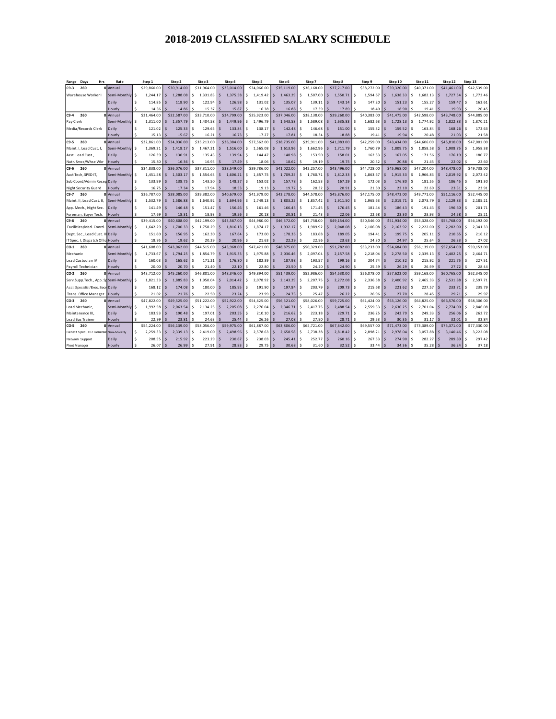| Range              | Days                               | <b>Hrs</b>                       | Rate                                  |        | Step 1               |    | Step 2               |    | Step 3               |                    | Step 4               |        | Step 5               |                          | Step 6               |    | Step 7               |     | Step 8                  |          | Step 9               |                      | Step 10              |                                  | Step 11              |          | Step 12              |         | Step 13                 |
|--------------------|------------------------------------|----------------------------------|---------------------------------------|--------|----------------------|----|----------------------|----|----------------------|--------------------|----------------------|--------|----------------------|--------------------------|----------------------|----|----------------------|-----|-------------------------|----------|----------------------|----------------------|----------------------|----------------------------------|----------------------|----------|----------------------|---------|-------------------------|
| C9-3               | 260                                |                                  | 8 Annual                              |        | \$29,860.00          |    | \$30,914.00          |    | \$31,964.00          |                    | \$33,014.00          |        | \$34,066,00          |                          | \$35,119.00          |    | \$36,168,00          |     | \$37,217.00             |          | \$38,272.00          |                      | \$39,320.00          |                                  | \$40.371.00          |          | \$41.461.00          |         | \$42,539.00             |
|                    |                                    | Warehouse Worker!                | Semi-Monthly                          | Ś      | 1,244.17             | Ś  | 1,288.08             | Ś. | 1,331.83             | -\$                | 1,375.58             | Ś.     | 1,419.42             | $\sim$                   | 1,463.29             | \$ | 1,507.00             | -S  | 1,550.71                | \$       | 1,594.67             | Ś                    | 1,638.33             | ŝ                                | 1,682.13             | Ś.       | 1,727.54             | \$      | 1,772.46                |
|                    |                                    |                                  | Daily                                 | Ś      | 114.85               |    | 118.90               |    | 122.94               | -S                 | 126.98               | Ś      | 131.02               | l \$                     | 135.07               | Ś  | 139.11               |     | 143.14                  | Ś.       | 147.20               | Ś                    | 151.23               | <sub>S</sub>                     | 155.27               | Ś        | 159.47               | Ś       | 163.61                  |
|                    |                                    |                                  | Hourly                                | Ś      | 14.36                |    | 14.86                |    | 15.37                | $\leq$             | 15.87                | Ś      | 16.38                |                          | 16.88                |    | 17.39                |     | 17.89                   | Ś        | 18.40                | $\ddot{\phantom{0}}$ | 18.90                |                                  | 19.41                |          | 19.93                | Ś       | 20.45                   |
| $C9-4$             | 260                                |                                  | Annual                                |        | \$31,464.00          |    | \$32,587.00          |    | \$33,710.00          |                    | \$34,799.00          |        | \$35,923.00          |                          | \$37,046.00          |    | \$38,138.00          |     | \$39,260.00             |          | \$40,383.00          |                      | \$41,475.00          |                                  | \$42,598.00          |          | \$43,748.00          |         | \$44,885.00             |
| Pay Clerk          |                                    |                                  | Semi-Monthly                          | \$     | 1,311.00             | S. | 1,357.79             | Ś. | 1,404.58             | -Ś                 | 1,449.96             | Ś.     | 1,496.79             | l \$                     | 1,543.58             | Ś  | 1,589.08             |     | 1,635.83                | \$       | 1,682.63             | Ŝ.                   | 1,728.13             | \$.                              | 1,774.92             | \$       | 1,822.83             | \$      | 1,870.21                |
|                    |                                    | Media/Records Clerk              | Daily                                 | Ś      | 121.02               |    | 125.33               |    | 129.65               | l S                | 133.84               | Ś      | 138.17               | l \$                     | 142.48               | Ś  | 146.68               |     | 151.00                  | Ś.       | 155.32               | Ś                    | 159.52               | S.                               | 163.84               |          | 168.26               | Ś       | 172.63                  |
|                    |                                    |                                  | lourly                                | Ś      | 15.13                |    | 15.67                |    | 16.21                |                    | 16.73                |        | 17.27                |                          | 17.81                |    | 18.34                |     | 18.88                   |          | 19.41                |                      | 19.94                |                                  | 20.48                |          | 21.03                |         | 21.58                   |
| C9-5 260           |                                    |                                  | Annual                                |        | \$32,861.00          |    | \$34,036,00          |    | \$35,213.00          |                    | \$36,384.00          |        | \$37,562.00          |                          | \$38,735.00          |    | \$39,911.00          |     | \$41.083.00             |          | \$42,259.00          |                      | \$43,434.00          |                                  | \$44,606.00          |          | \$45,810.00          |         | \$47,001.00             |
|                    |                                    | Maint. I, Lead Cust. I,          | Semi-Monthly                          | ۱ś     | 1,369.21             | Ś  | 1,418.17             | Ś. | 1,467.21             | I\$                | 1,516.00             | \$     | 1,565.08             | I \$                     | 1,613.96             | Ś. | 1,662.96             |     | 1.711.79                | \$       | 1,760.79             | Ŝ                    | 1.809.75             | \$.                              | 1,858.58             | l \$     | 1,908.75             | l \$    | 1,958.38                |
|                    | Asst. Lead Cust.,                  |                                  | Daily                                 |        | 126.39               |    | 130.91               |    | 135.43               | $\sim$             | 139.94               | Ś      | 144.47               | l \$                     | 148.98               | Ś  | 153.50               |     | 158.01                  | \$       | 162.53               | $\zeta$              | 167.05               | S.                               | 171.56               |          | 176.19               | Ś       | 180.77                  |
|                    |                                    | Nutr. Srvcs/Whse Wkr             | Hourly                                | \$     | 15.80                |    | 16.36                |    | 16.93                |                    | 17.49                |        | 18.06                |                          | 18.62                |    | 19.19                |     | 19.75                   | Ś        | 20.32                |                      | 20.88                |                                  | 21.45                |          | 22.02                | Ś       | 22.60                   |
| $C9-6$             | 260                                |                                  | Annual                                |        | \$34,838.00          |    | \$36,076.00          |    | \$37,311.00          |                    | \$38,549.00          |        | \$39,786.00          |                          | \$41,022,00          |    | \$42,257.00          |     | \$43,496.00             |          | \$44.728.00          |                      | \$45,968.00          |                                  | \$47,204.00          |          | \$48,478.00          |         | \$49,738.00             |
|                    | Acct Tech, SPED IT,                |                                  | Semi-Monthly                          | \$     | 1.451.58             | Ś  | 1.503.17             | Ś. | 1.554.63             | l S                | 1.606.21             | Ŝ.     | 1.657.75             | l S                      | 1.709.25             | Ś  | 1,760.71             | l S | 1.812.33                | \$       | 1,863.67             | Ŝ.                   | 1.915.33             | Ŝ.                               | 1,966.83             | \$       | 2.019.92             | \$      | 2,072.42                |
|                    |                                    | Sub Coord/Admin Recep            | Daily                                 |        | 133.99               | S. | 138.75               | Ś  | 143.50               | $\sim$             | 148.27               | Ś      | 153.02               | l \$                     | 157.78               | Ś  | 162.53               | l S | 167.29                  | \$       | 172.03               | $\zeta$              | 176.80               | Š.                               | 181.55               | $\leq$   | 186.45               | Ś       | 191.30                  |
|                    |                                    | <b>Night Security Guard</b>      | Hourly                                |        | 16.75                |    | 17.34                |    | 17.94                |                    | 18.53                |        | 19.13                |                          | 19.72                |    | 20.32                |     | 20.91                   |          | 21.50                |                      | 22.10                |                                  | 22.69                |          | 23.31                |         | 23.91                   |
| $C9-7$             | 260                                |                                  | Annual                                |        | \$36,787.00          |    | \$38,085.00          |    | \$39,382.00          |                    | \$40,679.00          |        | \$41,979.00          |                          | \$43,278,00          |    | \$44,578.00          |     | \$45,876.00             |          | \$47.175.00          |                      | \$48,473.00          |                                  | \$49,771.00          |          | \$51.116.00          |         | \$52,445.00             |
|                    |                                    | Maint. II, Lead Cust. II,        | Semi-Monthly                          | l \$   | 1.532.79             |    | 1.586.88             | Ś. | 1.640.92             | Ŝ.                 | 1.694.96             | Ś.     | 1.749.13             | IS.                      | 1.803.25             | Ś. | 1.857.42             | -S  | 1.911.50                | Ś.       | 1,965.63             | Ŝ.                   | 2.019.71             | ŝ                                | 2.073.79             | Ś.       | 2.129.83             | Ś       | 2,185.21                |
|                    |                                    | App. Mech., Night Sec.           | Daily                                 | Ś      | 141.49               | S. | 146.48               | Ś  | 151.47               | $\sim$             | 156.46               | Ś      | 161.46               | I S                      | 166.45               | Ś  | 171.45               | l S | 176.45                  | \$       | 181.44               | $\leq$               | 186.43               | <b>S</b>                         | 191.43               | $\zeta$  | 196.60               | \$      | 201.71                  |
|                    |                                    | Foreman, Buyer Tech.             | Hourly                                |        | 17.69                |    | 18.31                |    | 18.93                |                    | 19.56                | ¢      | 20.18                |                          | 20.81                |    | 21.43                |     | 22.06                   |          | 22.68                | $\ddot{\phantom{0}}$ | 23.30                |                                  | 23.93                | ¢        | 24.58                |         | 25.21                   |
| C9-8               | 260                                |                                  | 8 Annual                              |        | \$39,415.00          |    | \$40,808.00          |    | \$42,199.00          |                    | \$43,587.00          |        | \$44,980.00          |                          | \$46,372.00          |    | \$47,758.00          |     | \$49,154.00             |          | \$50,546.00          |                      | \$51.934.00          |                                  | \$53,328.00          |          | \$54,768.00          |         | \$56,192.00             |
|                    |                                    | Facilities/Med. Coord            | Semi-Monthly                          | Ś      | 1.642.29             |    | 1.700.33             | Ś. | 1.758.29             | l S                | 1.816.13             | Ś.     | 1.874.17             | IS.                      | 1.932.17             | \$ | 1,989.92             | -S  | 2.048.08                | \$       | 2,106.08             | \$                   | 2.163.92             | Ś                                | 2,222.00             | Ś.       | 2.282.00             | Ŝ.      | 2,341.33                |
|                    |                                    | Dept. Sec., Lead Cust. III Daily |                                       | Ś      | 151.60               |    | 156.95               | Ś  | 162.30               | Ś                  | 167.64               | Ś      | 173.00               | $\overline{\phantom{a}}$ | 178.35               | Ś  | 183.68               |     | 189.05                  | Ś.       | 194.41               | <b>S</b>             | 199.75               | Ś                                | 205.11               | $\zeta$  | 210.65               | Ś       | 216.12                  |
|                    |                                    | IT Spec. I, Dispatch Offi-       | Hourly                                |        | 18.95                |    | 19.62                |    | 20.29                | -Ś                 | 20.96                | Ś      | 21.63                |                          | 22.29                |    | 22.96                |     | 23.63                   | Ś        | 24.30                |                      | 24.97                | $\ddot{\phantom{0}}$             | 25.64                |          | 26.33                | Ś       | 27.02                   |
| CO-1               | 260                                |                                  | 8 Annual                              |        | \$41,608.00          |    | \$43,062.00          |    | \$44,515.00          |                    | \$45,968.00          |        | \$47,421.00          |                          | \$48,875.00          |    | \$50,329.00          |     | \$51,782.00             |          | \$53,233.00          |                      | \$54,684.00          |                                  | \$56,139.00          |          | \$57,654.00          |         | \$59.153.00             |
| Mechanic           |                                    |                                  | Semi-Monthly                          | .s     | 1,733.67             | Ś  | 1,794.25             | Ś  | 1,854.79             | l \$               | 1,915.33             | Ŝ      | 1,975.88             | l \$                     | 2.036.46             | Ś  | 2,097.04             |     | 2,157.58                | \$       | 2,218.04             | Ŝ.                   | 2,278.50             | S.                               | 2,339.13             | Š.       | 2,402.25             | s       | 2,464.71                |
|                    | Lead Custodian IV                  |                                  | Daily                                 | Ś<br>¢ | 160.03               |    | 165.62               |    | 171.21               | Š                  | 176.80               | Ś<br>Ś | 182.39               | l \$                     | 187.98               | Ś  | 193.57               |     | 199.16                  | \$       | 204.74               | $\zeta$              | 210.32               | <b>S</b><br>$\ddot{\phantom{0}}$ | 215.92               | $\zeta$  | 221.75               | Ś<br>¢, | 227.51                  |
| Payroll Technician |                                    |                                  | Hourly                                |        | 20.00<br>\$43,712.00 |    | 20.70<br>\$45,260.00 |    | 21.40<br>\$46,801.00 | -Ś                 | 22.10<br>\$48,346.00 |        | 22.80<br>\$49,894.00 |                          | 23.50<br>\$51,439.00 |    | 24.20<br>\$52,986.00 |     | 24.90<br>\$54,530.00    | Ś        | 25.59<br>\$56,078.00 |                      | 26.29<br>\$57.622.00 |                                  | 26.99<br>\$59,168.00 |          | 27.72<br>\$60,765.00 |         | 28.44<br>\$62,345.00    |
| CO-2               | 260                                |                                  | 8 Annual                              |        |                      |    |                      |    |                      |                    |                      |        |                      |                          |                      |    |                      |     |                         |          |                      |                      |                      |                                  |                      |          |                      |         |                         |
|                    |                                    |                                  | Serv.Supp.Tech., App. Sp Semi-Monthly | Ś      | 1,821.33             | Ś  | 1,885.83             | Ś  | 1,950.04             | I\$                | 2,014.42             | \$     | 2,078.92             | l S                      | 2,143.29             | Ś  | 2,207.75             | -S  | 2.272.08                | \$       | 2,336.58             | Ś                    | 2.400.92             | ŝ                                | 2,465.33             | Ś.       | 2,531.88             | \$      | 2,597.71                |
|                    |                                    | Acct. Specialist/Exec. Sec       | r Daily                               | Ś<br>Ś | 168.12               |    | 174.08               | Ś  | 180.00               | Ś                  | 185.95               | Ś      | 191.90               | $\overline{\phantom{a}}$ | 197.84               | Ś  | 203.79               |     | 209.73                  | \$       | 215.68               | Ś                    | 221.62               | Ś                                | 227.57               | <b>S</b> | 233.71               | Ś       | 239.79                  |
|                    |                                    | Trans. Office Manager            | Hourly                                |        | 21.02                |    | 21.76                |    | 22.50                |                    | 23.24                |        | 23.99                |                          | 24.73                |    | 25.47                |     | 26.22                   | Ś        | 26.96                |                      | 27.70                |                                  | 28.45                |          | 29.21                | Ś       | 29.97                   |
| CO-3               | 260                                |                                  | Annual                                |        | \$47,822.00          |    | \$49,525.00          | Ś. | \$51,222.00          |                    | \$52,922.00          | Ś.     | \$54,625.00          | $\overline{\phantom{a}}$ | \$56,321.00          | Ś  | \$58,026.00          |     | \$59,725.00<br>2,488.54 |          | \$61,424.00          | $\mathsf{S}$         | \$63,126.00          |                                  | \$64,825.00          | Š.       | \$66,576.00          |         | \$68,306.00<br>2,846.08 |
|                    | Lead Mechanic,<br>Maintanence III, |                                  | Semi-Monthly<br>Daily                 | Ś      | 1,992.58<br>183.93   |    | 2,063.54<br>190.48   | Ś  | 2,134.25<br>197.01   | $\sim$<br><b>S</b> | 2,205.08<br>203.55   | Ś      | 2,276.04<br>210.10   | l \$                     | 2,346.71<br>216.62   | Ś  | 2,417.75<br>223.18   |     | 229.71                  | \$<br>Ś. | 2,559.33<br>236.25   | Ś                    | 2,630.25<br>242.79   | \$<br><sub>S</sub>               | 2,701.04<br>249.33   | \$       | 2,774.00<br>256.06   | \$<br>Ś | 262.72                  |
|                    | Lead Bus Trainer                   |                                  | Hourly                                | \$.    | 22.99                |    | 23.81                |    | 24.63                |                    | 25.44                | ¢      | 26.26                |                          | 27.08                |    | 27.90                |     | 28.71                   | Ś        | 29.53                |                      | 30.35                | ¢                                | 31.17                |          | 32.01                |         | 32.84                   |
| CO-5 260           |                                    |                                  | 8 Annual                              |        | \$54,224.00          |    | \$56,139.00          |    | \$58,056.00          |                    | \$59,975.00          |        | \$61,887.00          |                          | \$63,806.00          |    | \$65,721.00          |     | \$67,642.00             |          | \$69,557.00          |                      | \$71,473.00          |                                  | \$73,389.00          |          | \$75,371.00          |         | \$77,330.00             |
|                    |                                    | Benefit Spec., HR Generali       | Semi-Monthly                          | Ś      | 2.259.33             | Ŝ. | 2.339.13             | Ś. | 2,419.00             | l\$                | 2,498.96             | \$     | 2,578.63             | I \$                     | 2,658.58             | Ś  | 2,738.38             | l S | 2.818.42                | \$       | 2,898.21             | Ŝ.                   | 2.978.04             | \$.                              | 3,057.88             | Ŝ.       | 3,140.46             | \$      | 3,222.08                |
|                    | Network Support                    |                                  | Daily                                 | Ś      | 208.55               | S  | 215.92               | Ś  | 223.29               | l \$               | 230.67               | Ś      | 238.03               | l\$                      | 245.41               | Ś  | 252.77               | -S  | 260.16                  | \$       | 267.53               | \$                   | 274.90               | Ś                                | 282.27               | <b>S</b> | 289.89               | \$      | 297.42                  |
| Fleet M anager     |                                    |                                  | Hourly                                | Ś      | 26.07                |    | 26.99                |    | 27.91                | -S                 | 28.83                |        | 29.75                |                          | 30.68                | Ś  | 31.60                |     | 32.52                   | Ś        | 33.44                |                      | 34.36                | Š.                               | 35.28                |          | 36.24                | Ś       | 37.18                   |
|                    |                                    |                                  |                                       |        |                      |    |                      |    |                      |                    |                      |        |                      |                          |                      |    |                      |     |                         |          |                      |                      |                      |                                  |                      |          |                      |         |                         |